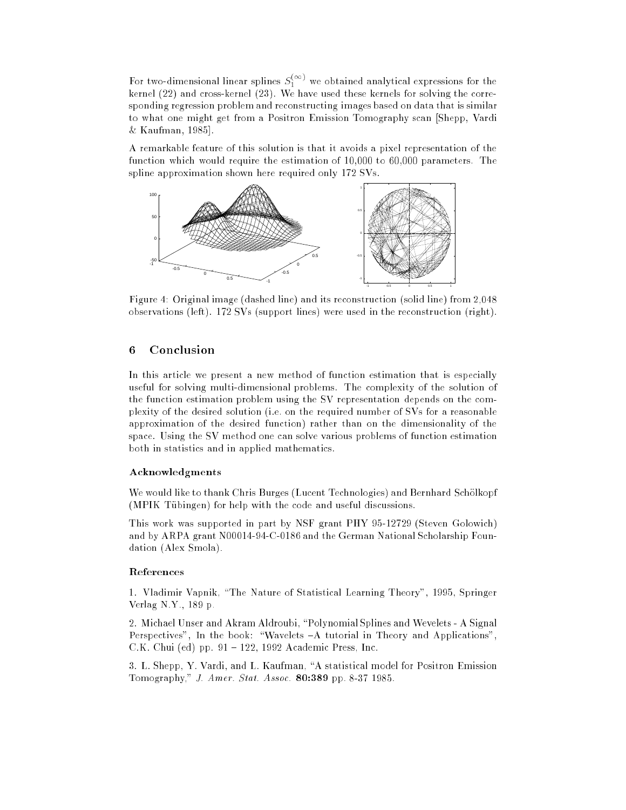For two-dimensional linear splines  $S_1^{(+)'}$  we obtained analytical expressions for the kernel (22) and cross-kernel (23). We have used these kernels for solving the corresponding regression problem and reconstructing images based on data that is similar to what one might get from a Positron Emission Tomography scan [Shepp, Vardi & Kaufman, 1985].

A remarkable feature of this solution is that it avoids a pixel representation of the function which would require the estimation of 10,000 to 60,000 parameters. The spline approximation shown here required only 172 SVs.



Figure 4: Original image (dashed line) and its reconstruction (solid line) from 2,048 observations (left). 172 SVs (support lines) were used in the reconstruction (right).

# 6 Conclusion

In this article we present a new method of function estimation that is especially useful for solving multi-dimensional problems. The complexity of the solution of the function estimation problem using the SV representation depends on the complexity of the desired solution (i.e. on the required number of SVs for a reasonable approximation of the desired function) rather than on the dimensionality of the space. Using the SV method one can solve various problems of function estimation both in statistics and in applied mathematics.

#### Acknowledgments

We would like to thank Chris Burges (Lucent Technologies) and Bernhard Schölkopf (MPIK Tübingen) for help with the code and useful discussions.

This work was supported in part by NSF grant PHY 95-12729 (Steven Golowich) and by ARPA grant N00014-94-C-0186 and the German National Scholarship Foundation (Alex Smola).

#### References

1. Vladimir Vapnik, \The Nature of Statistical Learning Theory", 1995, Springer Verlag N.Y., 189 p.

2. Michael Unser and Akram Aldroubi, "Polynomial Splines and Wevelets - A Signal Perspectives", In the book: "Wavelets  $-A$  tutorial in Theory and Applications", C.K. Chui (ed) pp.  $91 - 122$ , 1992 Academic Press, Inc.

3. L. Shepp, Y. Vardi, and L. Kaufman, "A statistical model for Positron Emission Tomography," J. Amer. Stat. Assoc. 80:389 pp. 8-37 1985.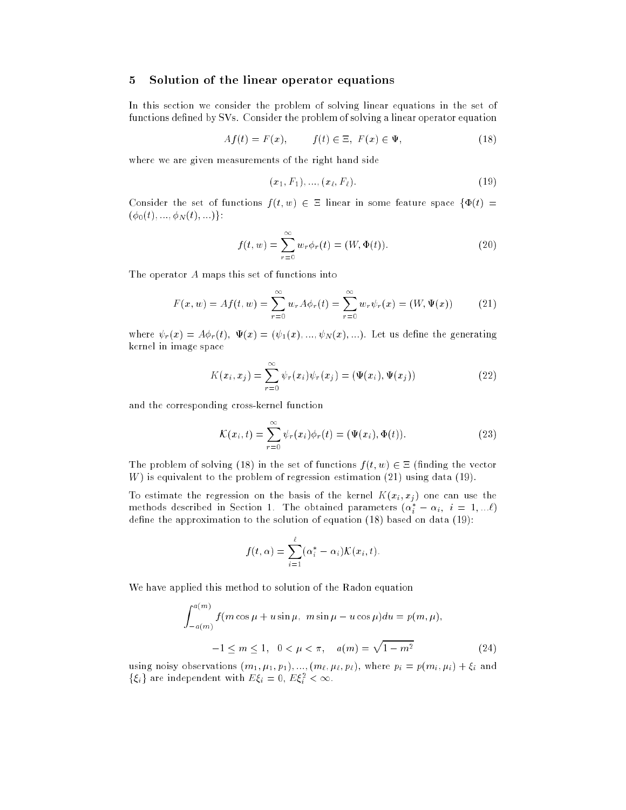# 5 Solution of the linear operator equations

In this section we consider the problem of solving linear equations in the set of functions defined by SVs. Consider the problem of solving a linear operator equation

$$
Af(t) = F(x), \qquad f(t) \in \Xi, \ F(x) \in \Psi,
$$
\n
$$
(18)
$$

where we are given measurements of the right hand side

$$
(x_1, F_1), \ldots, (x_\ell, F_\ell). \tag{19}
$$

Consider the set of functions  $f(t, w) \in \Xi$  linear in some feature space  $\{\Phi(t) =$  $(\phi_0(t), \ldots, \phi_N(t), \ldots)$ :

$$
f(t, w) = \sum_{r=0}^{\infty} w_r \phi_r(t) = (W, \Phi(t)).
$$
 (20)

The operator A maps this set of functions into

$$
F(x, w) = Af(t, w) = \sum_{r=0}^{\infty} w_r A \phi_r(t) = \sum_{r=0}^{\infty} w_r \psi_r(x) = (W, \Psi(x))
$$
 (21)

where  $\psi_r(x) = A\phi_r(t), \Psi(x) = (\psi_1(x), ..., \psi_N(x), ...)$ . Let us define the generating kernel in image space

$$
K(x_i, x_j) = \sum_{r=0}^{\infty} \psi_r(x_i) \psi_r(x_j) = (\Psi(x_i), \Psi(x_j))
$$
 (22)

and the corresponding cross-kernel function

$$
\mathcal{K}(x_i, t) = \sum_{r=0}^{\infty} \psi_r(x_i) \phi_r(t) = (\Psi(x_i), \Phi(t)).
$$
\n(23)

The problem of solving (18) in the set of functions  $f(t, w) \in \Xi$  (finding the vector  $W$ ) is equivalent to the problem of regression estimation  $(21)$  using data  $(19)$ .

To estimate the regression on the basis of the kernel  $K(x_i, x_j)$  one can use the methods described in Section 1. The obtained parameters  $(\alpha_i^*-\alpha_i,\,\,i=1,...\ell)$ define the approximation to the solution of equation  $(18)$  based on data  $(19)$ :

$$
f(t,\alpha) = \sum_{i=1}^{\ell} (\alpha_i^* - \alpha_i) \mathcal{K}(x_i,t).
$$

We have applied this method to solution of the Radon equation

$$
\int_{-a(m)}^{a(m)} f(m \cos \mu + u \sin \mu, \ m \sin \mu - u \cos \mu) du = p(m, \mu),
$$
  

$$
-1 \le m \le 1, \ 0 < \mu < \pi, \quad a(m) = \sqrt{1 - m^2}
$$
(24)

using noisy observations  $(m_1, \mu_1, p_1), ..., (m_\ell, \mu_\ell, p_\ell)$ , where  $p_i = p(m_i, \mu_i) + \xi_i$  and  $\{\xi_i\}$  are independent with  $E \xi_i = 0, E \xi_i < \infty$ .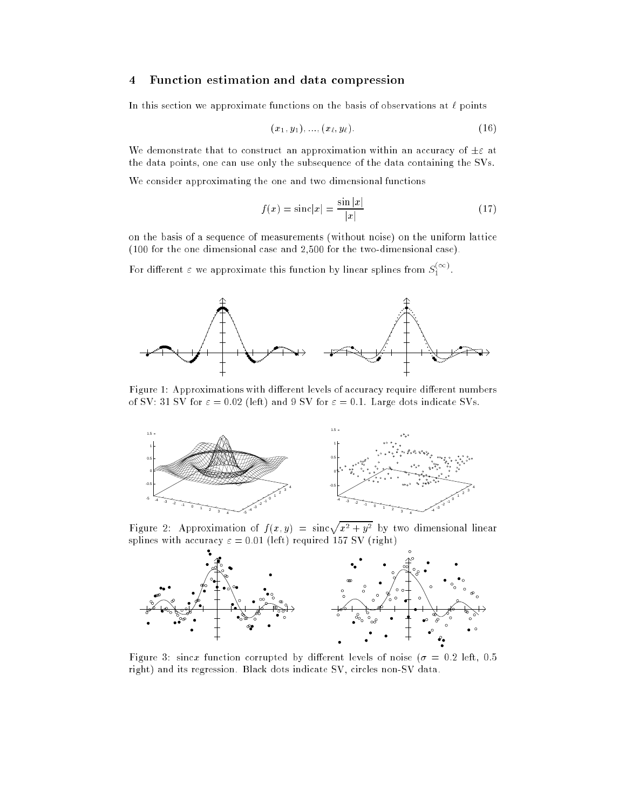# 4 Function estimation and data compression

In this section we approximate functions on the basis of observations at  $\ell$  points

$$
(x_1, y_1), \ldots, (x_\ell, y_\ell). \tag{16}
$$

We demonstrate that to construct an approximation within an accuracy of  $\pm \varepsilon$  at the data points, one can use only the subsequence of the data containing the SVs.

We consider approximating the one and two dimensional functions

$$
f(x) = \text{sinc}|x| = \frac{\sin|x|}{|x|}
$$
\n(17)

on the basis of a sequence of measurements (without noise) on the uniform lattice (100 for the one dimensional case and 2,500 for the two-dimensional case).

For different  $\varepsilon$  we approximate this function by linear splines from  $S_1^{***}$ .



Figure 1: Approximations with different levels of accuracy require different numbers of SV: 31 SV for  $\varepsilon = 0.02$  (left) and 9 SV for  $\varepsilon = 0.1$ . Large dots indicate SVs.



Figure 2: Approximation of  $f(x, y) = \sin \sqrt{x^2 + y^2}$  by two dimensional linear splines with accuracy  $\varepsilon = 0.01$  (left) required 157 SV (right)



Figure 3: sincx function corrupted by different levels of noise ( $\sigma = 0.2$  left, 0.5 right) and its regression. Black dots indicate SV, circles non-SV data.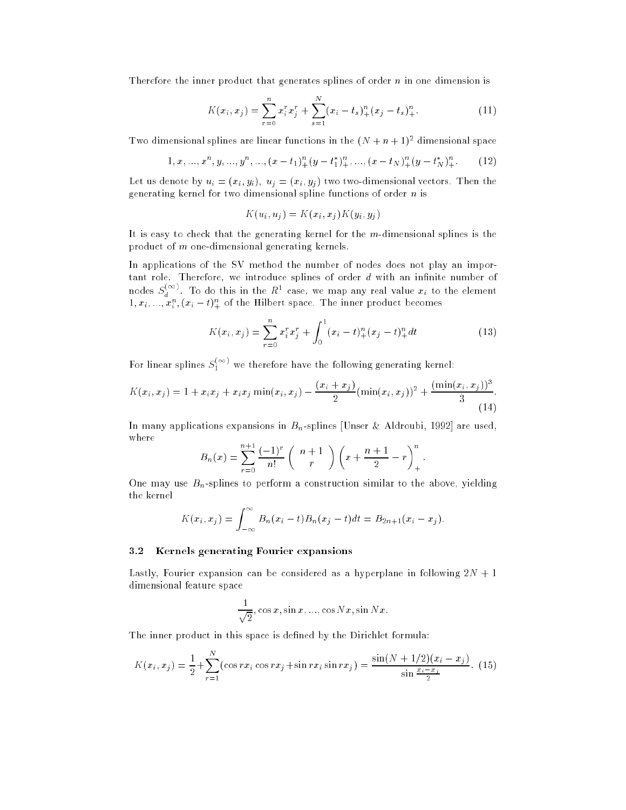Therefore the inner product that generates splines of order  $n$  in one dimension is

$$
K(x_i, x_j) = \sum_{r=0}^{n} x_i^r x_j^r + \sum_{s=1}^{N} (x_i - t_s)_+^n (x_j - t_s)_+^n.
$$
 (11)

Two dimensional splines are linear functions in the  $(N + n + 1)$ <sup>-</sup> dimensional space

$$
1, x, ..., xn, y, ..., yn, ..., (x - t1)n+(y - t*1)n+, ..., (x - tN)n+(y - t*N)n+.
$$
 (12)

Let us denote by  $u_i = (x_i, y_i), u_j = (x_i, y_j)$  two two-dimensional vectors. Then the generating kernel for two dimensional spline functions of order  $n$  is

$$
K(u_i, u_j) = K(x_i, x_j)K(y_i, y_j)
$$

It is easy to check that the generating kernel for the m-dimensional splines is the product of m one-dimensional generating kernels.

In applications of the SV method the number of nodes does not play an important role. Therefore, we introduce splines of order  $d$  with an infinite number of nodes  $S_{\lambda}$ <sup>11</sup>  $\frac{d}{dt}$  . To do this in the  $\pi$ -case, we map any real value  $x_i$  to the element  $\{1, x_i, ..., x_i, (x_i - i)_+^{\perp} \}$  of the Hilbert space. The inner product becomes

$$
K(x_i, x_j) = \sum_{r=0}^{n} x_i^r x_j^r + \int_0^1 (x_i - t)_+^n (x_j - t)_+^n dt
$$
 (13)

For linear splines  $S_1^{(1)}$  we therefore have the following generating kernel:

$$
K(x_i, x_j) = 1 + x_i x_j + x_i x_j \min(x_i, x_j) - \frac{(x_i + x_j)}{2} (\min(x_i, x_j))^2 + \frac{(\min(x_i, x_j))^3}{3}.
$$
\n(14)

In many applications expansions in  $B_n$ -splines [Unser & Aldroubi, 1992] are used, where

$$
B_n(x) = \sum_{r=0}^{n+1} \frac{(-1)^r}{n!} {n+1 \choose r} \left( x + \frac{n+1}{2} - r \right)_+^n.
$$

One may use  $B_n$ -splines to perform a construction similar to the above, yielding the kernel

$$
K(x_i, x_j) = \int_{-\infty}^{\infty} B_n(x_i - t) B_n(x_j - t) dt = B_{2n+1}(x_i - x_j).
$$

### 3.2 Kernels generating Fourier expansions

Lastly, Fourier expansion can be considered as a hyperplane in following  $2N + 1$ dimensional feature space

$$
\frac{1}{\sqrt{2}}, \cos x, \sin x, \dots, \cos Nx, \sin Nx.
$$

The inner product in this space is defined by the Dirichlet formula:

$$
K(x_i, x_j) = \frac{1}{2} + \sum_{r=1}^{N} (\cos rx_i \cos rx_j + \sin rx_i \sin rx_j) = \frac{\sin(N + 1/2)(x_i - x_j)}{\sin \frac{x_i - x_j}{2}}.
$$
 (15)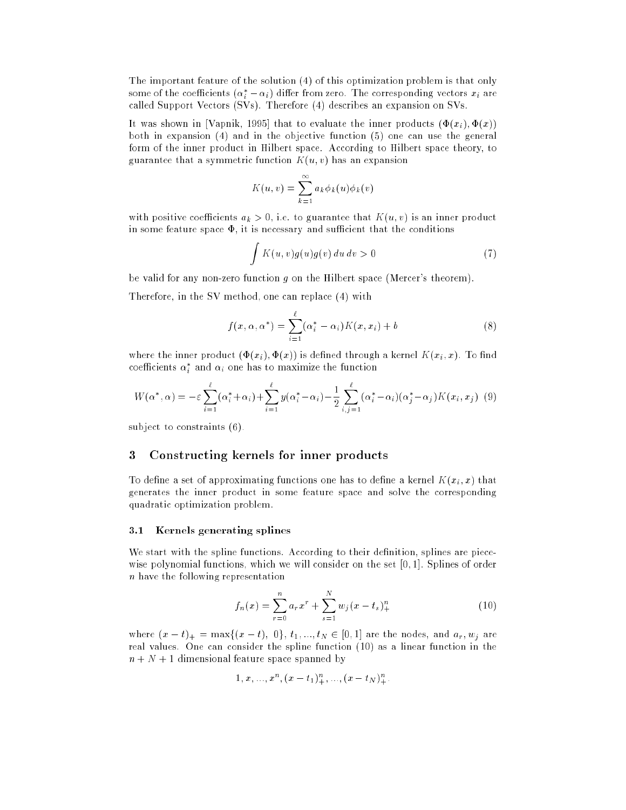The important feature of the solution (4) of this optimization problem is that only some of the coefficients  $(\alpha_i - \alpha_i)$  differ from zero. The corresponding vectors  $x_i$  are called Support Vectors (SVs). Therefore (4) describes an expansion on SVs.

It was shown in [Vapnik, 1995] that to evaluate the inner products  $(\Phi(x_i), \Phi(x))$ both in expansion (4) and in the objective function (5) one can use the general form of the inner product in Hilbert space. According to Hilbert space theory, to guarantee that a symmetric function  $K(u, v)$  has an expansion

$$
K(u,v) = \sum_{k=1}^{\infty} a_k \phi_k(u) \phi_k(v)
$$

with positive coefficients  $a_k > 0$ , i.e. to guarantee that  $K(u, v)$  is an inner product in some feature space  $\Phi$ , it is necessary and sufficient that the conditions

$$
\int K(u,v)g(u)g(v) du dv > 0 \tag{7}
$$

be valid for any non-zero function q on the Hilbert space (Mercer's theorem).

Therefore, in the SV method, one can replace (4) with

$$
f(x, \alpha, \alpha^*) = \sum_{i=1}^{\ell} (\alpha_i^* - \alpha_i) K(x, x_i) + b \tag{8}
$$

where the inner product  $(\Phi(x_i), \Phi(x))$  is defined through a kernel  $K(x_i, x)$ . To find coemcients  $\alpha_i$  and  $\alpha_i$  one has to maximize the function

$$
W(\alpha^*, \alpha) = -\varepsilon \sum_{i=1}^{\ell} (\alpha_i^* + \alpha_i) + \sum_{i=1}^{\ell} y(\alpha_i^* - \alpha_i) - \frac{1}{2} \sum_{i,j=1}^{\ell} (\alpha_i^* - \alpha_i)(\alpha_j^* - \alpha_j) K(x_i, x_j)
$$
(9)

subject to constraints (6).

## 3 Constructing kernels for inner products

To define a set of approximating functions one has to define a kernel  $K(x_i, x)$  that generates the inner product in some feature space and solve the corresponding quadratic optimization problem.

#### 3.1 Kernels generating splines

We start with the spline functions. According to their definition, splines are piecewise polynomial functions, which we will consider on the set [0; 1]. Splines of order n have the following representation

$$
f_n(x) = \sum_{r=0}^n a_r x^r + \sum_{s=1}^N w_j (x - t_s)_+^n
$$
 (10)

where  $(x - t)_+ = \max\{(x - t), 0\}, t_1, ..., t_N \in [0, 1]$  are the nodes, and  $a_r, w_j$  are real values. One can consider the spline function (10) as a linear function in the  $n + N + 1$  dimensional feature space spanned by

$$
1, x, ..., xn, (x - t1)n+, ..., (x - tN)n+.
$$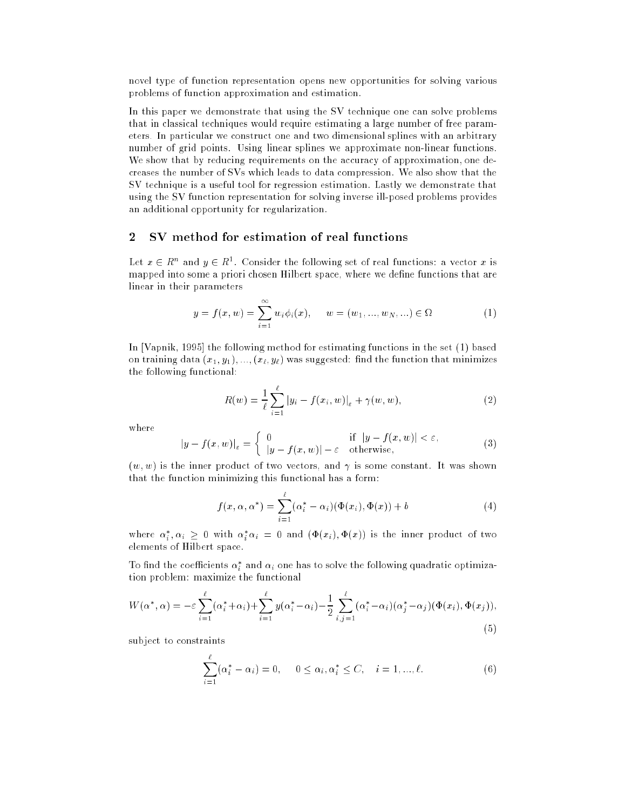novel type of function representation opens new opportunities for solving various problems of function approximation and estimation.

In this paper we demonstrate that using the SV technique one can solve problems that in classical techniques would require estimating a large number of free parameters. In particular we construct one and two dimensional splines with an arbitrary number of grid points. Using linear splines we approximate non-linear functions. We show that by reducing requirements on the accuracy of approximation, one decreases the number of SVs which leads to data compression. We also show that the SV technique is a useful tool for regression estimation. Lastly we demonstrate that using the SV function representation for solving inverse ill-posed problems provides an additional opportunity for regularization.

# 2 SV method for estimation of real functions

Let  $x\in R^+$  and  $y\in R^+$ . Consider the following set of real functions: a vector  $x$  is mapped into some a priori chosen Hilbert space, where we define functions that are linear in their parameters

$$
y = f(x, w) = \sum_{i=1}^{\infty} w_i \phi_i(x), \qquad w = (w_1, ..., w_N, ...) \in \Omega
$$
 (1)

In [Vapnik, 1995] the following method for estimating functions in the set (1) based on training data  $(x_1, y_1), ..., (x_\ell, y_\ell)$  was suggested: find the function that minimizes the following functional:

$$
R(w) = \frac{1}{\ell} \sum_{i=1}^{\ell} |y_i - f(x_i, w)|_{\varepsilon} + \gamma(w, w),
$$
 (2)

where

$$
|y - f(x, w)|_{\varepsilon} = \begin{cases} 0 & \text{if } |y - f(x, w)| < \varepsilon, \\ |y - f(x, w)| - \varepsilon & \text{otherwise,} \end{cases}
$$
(3)

 $(w, w)$  is the inner product of two vectors, and  $\gamma$  is some constant. It was shown that the function minimizing this functional has a form:

$$
f(x, \alpha, \alpha^*) = \sum_{i=1}^{\ell} (\alpha_i^* - \alpha_i)(\Phi(x_i), \Phi(x)) + b
$$
 (4)

where  $\alpha_i, \alpha_i \geq 0$  with  $\alpha_i \alpha_i = 0$  and  $(\Psi(x_i), \Psi(x))$  is the inner product of two elements of Hilbert space.

To find the coefficients  $\alpha_i$  and  $\alpha_i$  one has to solve the following quadratic optimization problem: maximize the functional

$$
W(\alpha^*, \alpha) = -\varepsilon \sum_{i=1}^{\ell} (\alpha_i^* + \alpha_i) + \sum_{i=1}^{\ell} y(\alpha_i^* - \alpha_i) - \frac{1}{2} \sum_{i,j=1}^{\ell} (\alpha_i^* - \alpha_i)(\alpha_j^* - \alpha_j)(\Phi(x_i), \Phi(x_j)),
$$
\n(5)

subject to constraints

$$
\sum_{i=1}^{l} (\alpha_i^* - \alpha_i) = 0, \quad 0 \le \alpha_i, \alpha_i^* \le C, \quad i = 1, ..., \ell.
$$
 (6)